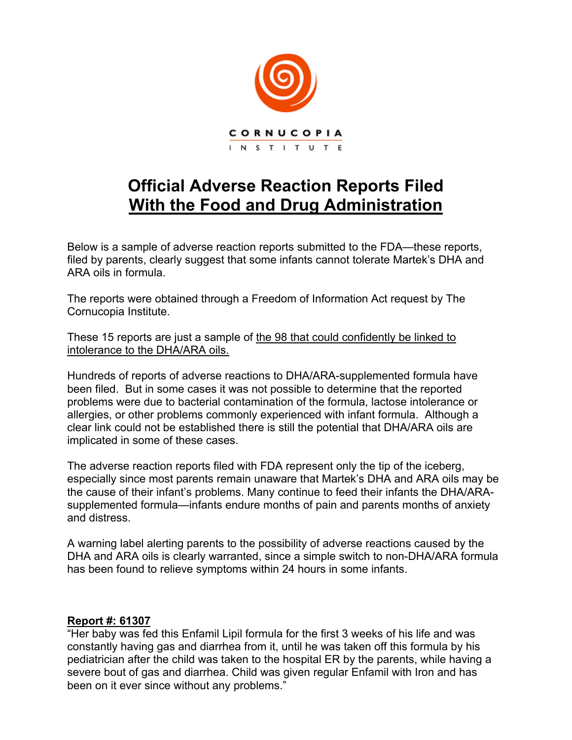

# **Official Adverse Reaction Reports Filed With the Food and Drug Administration**

Below is a sample of adverse reaction reports submitted to the FDA—these reports, filed by parents, clearly suggest that some infants cannot tolerate Martek's DHA and ARA oils in formula.

The reports were obtained through a Freedom of Information Act request by The Cornucopia Institute.

These 15 reports are just a sample of the 98 that could confidently be linked to intolerance to the DHA/ARA oils.

Hundreds of reports of adverse reactions to DHA/ARA-supplemented formula have been filed. But in some cases it was not possible to determine that the reported problems were due to bacterial contamination of the formula, lactose intolerance or allergies, or other problems commonly experienced with infant formula. Although a clear link could not be established there is still the potential that DHA/ARA oils are implicated in some of these cases.

The adverse reaction reports filed with FDA represent only the tip of the iceberg, especially since most parents remain unaware that Martek's DHA and ARA oils may be the cause of their infant's problems. Many continue to feed their infants the DHA/ARAsupplemented formula—infants endure months of pain and parents months of anxiety and distress.

A warning label alerting parents to the possibility of adverse reactions caused by the DHA and ARA oils is clearly warranted, since a simple switch to non-DHA/ARA formula has been found to relieve symptoms within 24 hours in some infants.

#### **Report #: 61307**

"Her baby was fed this Enfamil Lipil formula for the first 3 weeks of his life and was constantly having gas and diarrhea from it, until he was taken off this formula by his pediatrician after the child was taken to the hospital ER by the parents, while having a severe bout of gas and diarrhea. Child was given regular Enfamil with Iron and has been on it ever since without any problems."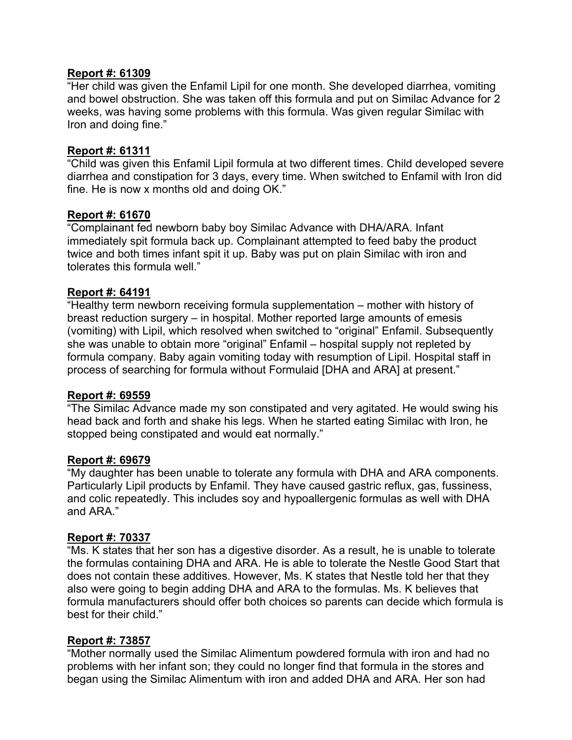#### **Report #: 61309**

"Her child was given the Enfamil Lipil for one month. She developed diarrhea, vomiting and bowel obstruction. She was taken off this formula and put on Similac Advance for 2 weeks, was having some problems with this formula. Was given regular Similac with Iron and doing fine."

#### **Report #: 61311**

"Child was given this Enfamil Lipil formula at two different times. Child developed severe diarrhea and constipation for 3 days, every time. When switched to Enfamil with Iron did fine. He is now x months old and doing OK."

## **Report #: 61670**

"Complainant fed newborn baby boy Similac Advance with DHA/ARA. Infant immediately spit formula back up. Complainant attempted to feed baby the product twice and both times infant spit it up. Baby was put on plain Similac with iron and tolerates this formula well."

## **Report #: 64191**

"Healthy term newborn receiving formula supplementation – mother with history of breast reduction surgery – in hospital. Mother reported large amounts of emesis (vomiting) with Lipil, which resolved when switched to "original" Enfamil. Subsequently she was unable to obtain more "original" Enfamil – hospital supply not repleted by formula company. Baby again vomiting today with resumption of Lipil. Hospital staff in process of searching for formula without Formulaid [DHA and ARA] at present."

#### **Report #: 69559**

"The Similac Advance made my son constipated and very agitated. He would swing his head back and forth and shake his legs. When he started eating Similac with Iron, he stopped being constipated and would eat normally."

#### **Report #: 69679**

"My daughter has been unable to tolerate any formula with DHA and ARA components. Particularly Lipil products by Enfamil. They have caused gastric reflux, gas, fussiness, and colic repeatedly. This includes soy and hypoallergenic formulas as well with DHA and ARA."

#### **Report #: 70337**

"Ms. K states that her son has a digestive disorder. As a result, he is unable to tolerate the formulas containing DHA and ARA. He is able to tolerate the Nestle Good Start that does not contain these additives. However, Ms. K states that Nestle told her that they also were going to begin adding DHA and ARA to the formulas. Ms. K believes that formula manufacturers should offer both choices so parents can decide which formula is best for their child."

#### **Report #: 73857**

"Mother normally used the Similac Alimentum powdered formula with iron and had no problems with her infant son; they could no longer find that formula in the stores and began using the Similac Alimentum with iron and added DHA and ARA. Her son had